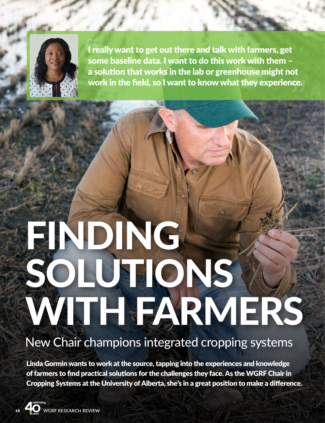

I really want to get out there and talk with farmers, get some baseline data. I want to do this work with them – a solution that works in the lab or greenhouse might not work in the field, so I want to know what they experience.

# FINDING SOLUTIONS WITH FARMERS

## New Chair champions integrated cropping systems

Linda Gormin wants to work at the source, tapping into the experiences and knowledge of farmers to find practical solutions for the challenges they face. As the WGRF Chair in Cropping Systems at the University of Alberta, she's in a great position to make a difference.